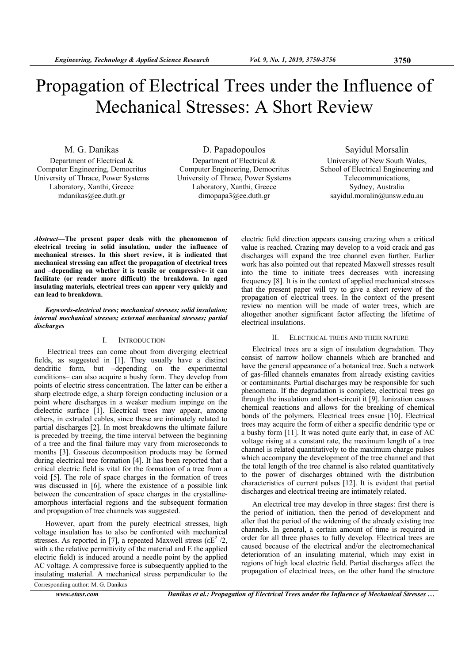# Propagation of Electrical Trees under the Influence of Mechanical Stresses: A Short Review

M. G. Danikas Department of Electrical & Computer Engineering, Democritus University of Thrace, Power Systems Laboratory, Xanthi, Greece mdanikas@ee.duth.gr

D. Papadopoulos Department of Electrical & Computer Engineering, Democritus University of Thrace, Power Systems Laboratory, Xanthi, Greece dimopapa3@ee.duth.gr

Sayidul Morsalin

University of New South Wales, School of Electrical Engineering and Telecommunications, Sydney, Australia sayidul.moralin@unsw.edu.au

*Abstract***—The present paper deals with the phenomenon of electrical treeing in solid insulation, under the influence of mechanical stresses. In this short review, it is indicated that mechanical stressing can affect the propagation of electrical trees and –depending on whether it is tensile or compressive- it can facilitate (or render more difficult) the breakdown. In aged insulating materials, electrical trees can appear very quickly and can lead to breakdown.** 

*Keywords-electrical trees; mechanical stresses; solid insulation; internal mechanical stresses; external mechanical stresses; partial discharges* 

## I. INTRODUCTION

 Electrical trees can come about from diverging electrical fields, as suggested in [1]. They usually have a distinct dendritic form, but –depending on the experimental conditions– can also acquire a bushy form. They develop from points of electric stress concentration. The latter can be either a sharp electrode edge, a sharp foreign conducting inclusion or a point where discharges in a weaker medium impinge on the dielectric surface [1]. Electrical trees may appear, among others, in extruded cables, since these are intimately related to partial discharges [2]. In most breakdowns the ultimate failure is preceded by treeing, the time interval between the beginning of a tree and the final failure may vary from microseconds to months [3]. Gaseous decomposition products may be formed during electrical tree formation [4]. It has been reported that a critical electric field is vital for the formation of a tree from a void [5]. The role of space charges in the formation of trees was discussed in [6], where the existence of a possible link between the concentration of space charges in the crystallineamorphous interfacial regions and the subsequent formation and propagation of tree channels was suggested.

However, apart from the purely electrical stresses, high voltage insulation has to also be confronted with mechanical stresses. As reported in [7], a repeated Maxwell stress ( $\epsilon E^2/2$ , with  $\varepsilon$  the relative permittivity of the material and E the applied electric field) is induced around a needle point by the applied AC voltage. A compressive force is subsequently applied to the insulating material. A mechanical stress perpendicular to the

electric field direction appears causing crazing when a critical value is reached. Crazing may develop to a void crack and gas discharges will expand the tree channel even further. Earlier work has also pointed out that repeated Maxwell stresses result into the time to initiate trees decreases with increasing frequency [8]. It is in the context of applied mechanical stresses that the present paper will try to give a short review of the propagation of electrical trees. In the context of the present review no mention will be made of water trees, which are altogether another significant factor affecting the lifetime of electrical insulations.

### II. ELECTRICAL TREES AND THEIR NATURE

Electrical trees are a sign of insulation degradation. They consist of narrow hollow channels which are branched and have the general appearance of a botanical tree. Such a network of gas-filled channels emanates from already existing cavities or contaminants. Partial discharges may be responsible for such phenomena. If the degradation is complete, electrical trees go through the insulation and short-circuit it [9]. Ionization causes chemical reactions and allows for the breaking of chemical bonds of the polymers. Electrical trees ensue [10]. Electrical trees may acquire the form of either a specific dendritic type or a bushy form [11]. It was noted quite early that, in case of AC voltage rising at a constant rate, the maximum length of a tree channel is related quantitatively to the maximum charge pulses which accompany the development of the tree channel and that the total length of the tree channel is also related quantitatively to the power of discharges obtained with the distribution characteristics of current pulses [12]. It is evident that partial discharges and electrical treeing are intimately related.

An electrical tree may develop in three stages: first there is the period of initiation, then the period of development and after that the period of the widening of the already existing tree channels. In general, a certain amount of time is required in order for all three phases to fully develop. Electrical trees are caused because of the electrical and/or the electromechanical deterioration of an insulating material, which may exist in regions of high local electric field. Partial discharges affect the propagation of electrical trees, on the other hand the structure

Corresponding author: M. G. Danikas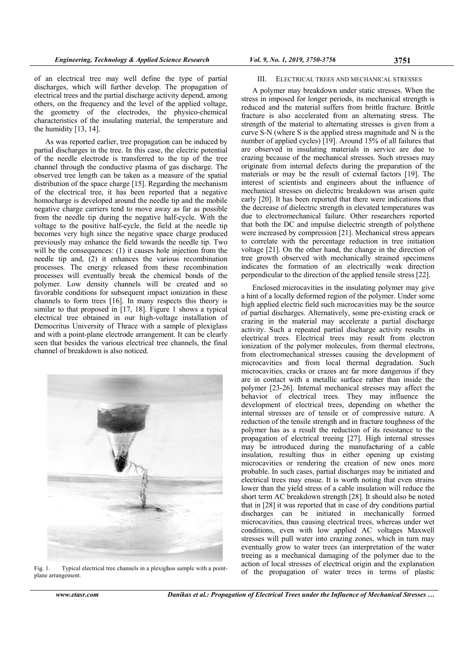of an electrical tree may well define the type of partial discharges, which will further develop. The propagation of electrical trees and the partial discharge activity depend, among others, on the frequency and the level of the applied voltage, the geometry of the electrodes, the physico-chemical characteristics of the insulating material, the temperature and the humidity  $[13, 14]$ .

partial discharges in the tree. In this case, the electric potential of the needle electrode is transferred to the tip of the tree channel through the conductive plasma of gas discharge. The observed tree length can be taken as a measure of the spatial distribution of the space charge [15]. Regarding the mechanism of the electrical tree, it has been reported that a negative homocharge is developed around the needle tip and the mobile negative charge carriers tend to move away as far as possible from the needle tip during the negative half-cycle. With the voltage to the positive half-cycle, the field at the needle tip becomes very high since the negative space charge produced previously may enhance the field towards the needle tip. Two will be the consequences: (1) it causes hole injection from the needle tip and, (2) it enhances the various recombination processes. The energy released from these recombination processes will eventually break the chemical bonds of the polymer. Low density channels will be created and so favorable conditions for subsequent impact ionization in these channels to form trees [16]. In many respects this theory is similar to that proposed in  $[17, 18]$ . Figure 1 shows a typical electrical tree obtained in our high-voltage installation of Democritus University of Thrace with a sample of plexiglass and with a point-plane electrode arrangement. It can be clearly seen that besides the various electrical tree channels, the final channel of breakdown is also noticed. As was reported earlier, tree propagation can be induced by



 $Fig. 1.$ plane arrangement. g. 1. Typical electrical tree channels in a plexiglass sample with a point-

### III. ELECTRICAL TREES AND MECHANICAL STRESSES

stress in imposed for longer periods, its mechanical strength is reduced and the material suffers from brittle fracture. Brittle fracture is also accelerated from an alternating stress. The strength of the material to alternating stresses is given from a curve  $S-N$  (where  $S$  is the applied stress magnitude and  $N$  is the number of applied cycles) [19]. Around 15% of all failures that are observed in insulating materials in service are due to crazing because of the mechanical stresses. Such stresses may originate from internal defects during the preparation of the materials or may be the result of external factors [19]. The interest of scientists and engineers about the influence of mechanical stresses on dielectric breakdown was arisen quite early [20]. It has been reported that there were indications that the decrease of dielectric strength in elevated temperatures was due to electromechanical failure. Other researchers reported that both the DC and impulse dielectric strength of polythene were increased by compression [21]. Mechanical stress appears to correlate with the percentage reduction in tree initiation voltage [21]. On the other hand, the change in the direction of tree growth observed with mechanically strained specimens indicates the formation of an electrically weak direction perpendicular to the direction of the applied tensile stress [22]. A polymer may breakdown under static stresses. When the

a hint of a locally deformed region of the polymer. Under some high applied electric field such microcavities may be the source of partial discharges. Alternatively, some pre-existing crack or crazing in the material may accelerate a partial discharge activity. Such a repeated partial discharge activity results in electrical trees. Electrical trees may result from electron ionization of the polymer molecules, from thermal electrons, from electromechanical stresses causing the development of microcavities and from local thermal degradation. Such microcavities, cracks or crazes are far more dangerous if they are in contact with a metallic surface rather than inside the polymer [23-26]. Internal mechanical stresses may affect the behavior of electrical trees. They may influence the development of electrical trees, depending on whether the internal stresses are of tensile or of compressive nature. A reduction of the tensile strength and in fracture toughness of the polymer has as a result the reduction of its resistance to the propagation of electrical treeing [27]. High internal stresses may be introduced during the manufacturing of a cable insulation, resulting thus in either opening up existing microcavities or rendering the creation of new ones more probable. In such cases, partial discharges may be initiated and electrical trees may ensue. It is worth noting that even strains lower than the yield stress of a cable insulation will reduce the short term AC breakdown strength [28]. It should also be noted that in [28] it was reported that in case of dry conditions partial discharges can be initiated in mechanically formed microcavities, thus causing electrical trees, whereas under wet conditions, even with low applied AC voltages Maxwell stresses will pull water into crazing zones, which in turn may eventually grow to water trees (an interpretation of the water treeing as a mechanical damaging of the polymer due to the action of local stresses of electrical origin and the explanation of the propagation of water trees in terms of plastic Enclosed microcavities in the insulating polymer may give **6**<br>**6** AND MECHAN<br>**n** under static veriods, its meer fers from britt from an alter ternating stress mage alled stress mage alled stress mage alled stress mage alled of external simical stresses. the unit of external gime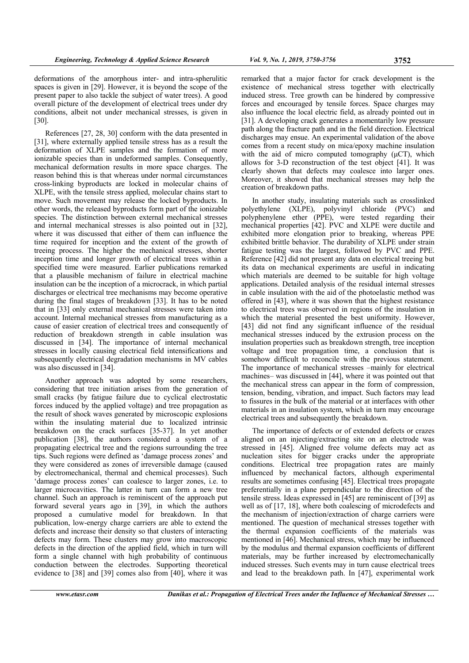deformations of the amorphous inter- and intra-spherulitic spaces is given in [29]. However, it is beyond the scope of the present paper to also tackle the subject of water trees). A good overall picture of the development of electrical trees under dry conditions, albeit not under mechanical stresses, is given in [30].

References [27, 28, 30] conform with the data presented in [31], where externally applied tensile stress has as a result the deformation of XLPE samples and the formation of more ionizable species than in undeformed samples. Consequently, mechanical deformation results in more space charges. The reason behind this is that whereas under normal circumstances cross-linking byproducts are locked in molecular chains of XLPE, with the tensile stress applied, molecular chains start to move. Such movement may release the locked byproducts. In other words, the released byproducts form part of the ionizable species. The distinction between external mechanical stresses and internal mechanical stresses is also pointed out in [32], where it was discussed that either of them can influence the time required for inception and the extent of the growth of treeing process. The higher the mechanical stresses, shorter inception time and longer growth of electrical trees within a specified time were measured. Earlier publications remarked that a plausible mechanism of failure in electrical machine insulation can be the inception of a microcrack, in which partial discharges or electrical tree mechanisms may become operative during the final stages of breakdown [33]. It has to be noted that in [33] only external mechanical stresses were taken into account. Internal mechanical stresses from manufacturing as a cause of easier creation of electrical trees and consequently of reduction of breakdown strength in cable insulation was discussed in [34]. The importance of internal mechanical stresses in locally causing electrical field intensifications and subsequently electrical degradation mechanisms in MV cables was also discussed in [34].

Another approach was adopted by some researchers, considering that tree initiation arises from the generation of small cracks (by fatigue failure due to cyclical electrostatic forces induced by the applied voltage) and tree propagation as the result of shock waves generated by microscopic explosions within the insulating material due to localized intrinsic breakdown on the crack surfaces [35-37]. In yet another publication [38], the authors considered a system of a propagating electrical tree and the regions surrounding the tree tips. Such regions were defined as 'damage process zones' and they were considered as zones of irreversible damage (caused by electromechanical, thermal and chemical processes). Such 'damage process zones' can coalesce to larger zones, i.e. to larger microcavities. The latter in turn can form a new tree channel. Such an approach is reminiscent of the approach put forward several years ago in [39], in which the authors proposed a cumulative model for breakdown. In that publication, low-energy charge carriers are able to extend the defects and increase their density so that clusters of interacting defects may form. These clusters may grow into macroscopic defects in the direction of the applied field, which in turn will form a single channel with high probability of continuous conduction between the electrodes. Supporting theoretical evidence to [38] and [39] comes also from [40], where it was

remarked that a major factor for crack development is the existence of mechanical stress together with electrically induced stress. Tree growth can be hindered by compressive forces and encouraged by tensile forces. Space charges may also influence the local electric field, as already pointed out in [31]. A developing crack generates a momentarily low pressure path along the fracture path and in the field direction. Electrical discharges may ensue. An experimental validation of the above comes from a recent study on mica/epoxy machine insulation with the aid of micro computed tomography (μCT), which allows for 3-D reconstruction of the test object [41]. It was clearly shown that defects may coalesce into larger ones. Moreover, it showed that mechanical stresses may help the creation of breakdown paths.

In another study, insulating materials such as crosslinked polyethylene (XLPE), polyvinyl chloride (PVC) and polyphenylene ether (PPE), were tested regarding their mechanical properties [42]. PVC and XLPE were ductile and exhibited more elongation prior to breaking, whereas PPE exhibited brittle behavior. The durability of XLPE under strain fatigue testing was the largest, followed by PVC and PPE. Reference [42] did not present any data on electrical treeing but its data on mechanical experiments are useful in indicating which materials are deemed to be suitable for high voltage applications. Detailed analysis of the residual internal stresses in cable insulation with the aid of the photoelastic method was offered in [43], where it was shown that the highest resistance to electrical trees was observed in regions of the insulation in which the material presented the best uniformity. However, [43] did not find any significant influence of the residual mechanical stresses induced by the extrusion process on the insulation properties such as breakdown strength, tree inception voltage and tree propagation time, a conclusion that is somehow difficult to reconcile with the previous statement. The importance of mechanical stresses –mainly for electrical machines– was discussed in [44], where it was pointed out that the mechanical stress can appear in the form of compression, tension, bending, vibration, and impact. Such factors may lead to fissures in the bulk of the material or at interfaces with other materials in an insulation system, which in turn may encourage electrical trees and subsequently the breakdown.

The importance of defects or of extended defects or crazes aligned on an injecting/extracting site on an electrode was stressed in [45]. Aligned free volume defects may act as nucleation sites for bigger cracks under the appropriate conditions. Electrical tree propagation rates are mainly influenced by mechanical factors, although experimental results are sometimes confusing [45]. Electrical trees propagate preferentially in a plane perpendicular to the direction of the tensile stress. Ideas expressed in [45] are reminiscent of [39] as well as of [17, 18], where both coalescing of microdefects and the mechanism of injection/extraction of charge carriers were mentioned. The question of mechanical stresses together with the thermal expansion coefficients of the materials was mentioned in [46]. Mechanical stress, which may be influenced by the modulus and thermal expansion coefficients of different materials, may be further increased by electromechanically induced stresses. Such events may in turn cause electrical trees and lead to the breakdown path. In [47], experimental work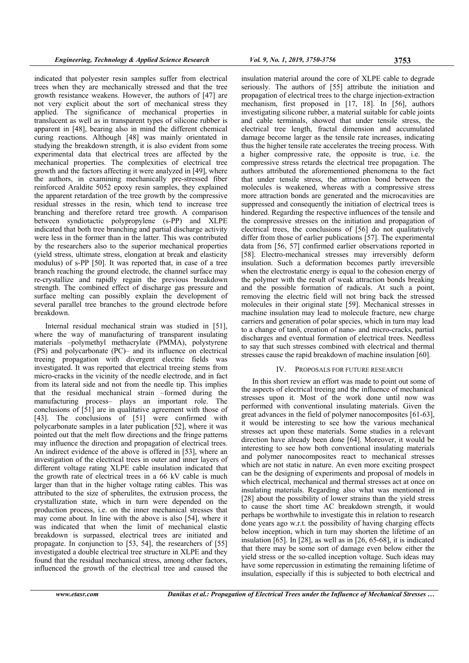indicated that polyester resin samples suffer from electrical trees when they are mechanically stressed and that the tree growth resistance weakens. However, the authors of [47] are not very explicit about the sort of mechanical stress they applied. The significance of mechanical properties in translucent as well as in transparent types of silicone rubber is apparent in [48], bearing also in mind the different chemical curing reactions. Although [48] was mainly orientated in studying the breakdown strength, it is also evident from some experimental data that electrical trees are affected by the mechanical properties. The complexities of electrical tree growth and the factors affecting it were analyzed in [49], where the authors, in examining mechanically pre-stressed fiber reinforced Araldite 5052 epoxy resin samples, they explained the apparent retardation of the tree growth by the compressive residual stresses in the resin, which tend to increase tree branching and therefore retard tree growth. A comparison between syndiotactic polypropylene (s-PP) and XLPE indicated that both tree branching and partial discharge activity were less in the former than in the latter. This was contributed by the researchers also to the superior mechanical properties (yield stress, ultimate stress, elongation at break and elasticity modulus) of s-PP [50]. It was reported that, in case of a tree branch reaching the ground electrode, the channel surface may re-crystallize and rapidly regain the previous breakdown strength. The combined effect of discharge gas pressure and surface melting can possibly explain the development of several parallel tree branches to the ground electrode before breakdown.

Internal residual mechanical strain was studied in [51], where the way of manufacturing of transparent insulating materials –polymethyl methacrylate (PMMA), polystyrene (PS) and polycarbonate (PC)– and its influence on electrical treeing propagation with divergent electric fields was investigated. It was reported that electrical treeing stems from micro-cracks in the vicinity of the needle electrode, and in fact from its lateral side and not from the needle tip. This implies that the residual mechanical strain –formed during the manufacturing process– plays an important role. The conclusions of [51] are in qualitative agreement with those of [43]. The conclusions of [51] were confirmed with polycarbonate samples in a later publication [52], where it was pointed out that the melt flow directions and the fringe patterns may influence the direction and propagation of electrical trees. An indirect evidence of the above is offered in [53], where an investigation of the electrical trees in outer and inner layers of different voltage rating XLPE cable insulation indicated that the growth rate of electrical trees in a 66 kV cable is much larger than that in the higher voltage rating cables. This was attributed to the size of spherulites, the extrusion process, the crystallization state, which in turn were depended on the production process, i.e. on the inner mechanical stresses that may come about. In line with the above is also [54], where it was indicated that when the limit of mechanical elastic breakdown is surpassed, electrical trees are initiated and propagate. In conjunction to [53, 54], the researchers of [55] investigated a double electrical tree structure in XLPE and they found that the residual mechanical stress, among other factors, influenced the growth of the electrical tree and caused the

insulation material around the core of XLPE cable to degrade seriously. The authors of [55] attribute the initiation and propagation of electrical trees to the charge injection-extraction mechanism, first proposed in [17, 18]. In [56], authors investigating silicone rubber, a material suitable for cable joints and cable terminals, showed that under tensile stress, the electrical tree length, fractal dimension and accumulated damage become larger as the tensile rate increases, indicating thus the higher tensile rate accelerates the treeing process. With a higher compressive rate, the opposite is true, i.e. the compressive stress retards the electrical tree propagation. The authors attributed the aforementioned phenomena to the fact that under tensile stress, the attraction bond between the molecules is weakened, whereas with a compressive stress more attraction bonds are generated and the microcavities are suppressed and consequently the initiation of electrical trees is hindered. Regarding the respective influences of the tensile and the compressive stresses on the initiation and propagation of electrical trees, the conclusions of [56] do not qualitatively differ from those of earlier publications [57]. The experimental data from [56, 57] confirmed earlier observations reported in [58]. Electro-mechanical stresses may irreversibly deform

stresses cause the rapid breakdown of machine insulation [60].

## IV. PROPOSALS FOR FUTURE RESEARCH

insulation. Such a deformation becomes partly irreversible when the electrostatic energy is equal to the cohesion energy of the polymer with the result of weak attraction bonds breaking and the possible formation of radicals. At such a point, removing the electric field will not bring back the stressed molecules in their original state [59]. Mechanical stresses in machine insulation may lead to molecule fracture, new charge carriers and generation of polar species, which in turn may lead to a change of tanδ, creation of nano- and micro-cracks, partial discharges and eventual formation of electrical trees. Needless to say that such stresses combined with electrical and thermal

In this short review an effort was made to point out some of the aspects of electrical treeing and the influence of mechanical stresses upon it. Most of the work done until now was performed with conventional insulating materials. Given the great advances in the field of polymer nanocomposites [61-63], it would be interesting to see how the various mechanical stresses act upon these materials. Some studies in a relevant direction have already been done [64]. Moreover, it would be interesting to see how both conventional insulating materials and polymer nanocomposites react to mechanical stresses which are not static in nature. An even more exciting prospect can be the designing of experiments and proposal of models in which electrical, mechanical and thermal stresses act at once on insulating materials. Regarding also what was mentioned in [28] about the possibility of lower strains than the yield stress to cause the short time AC breakdown strength, it would perhaps be worthwhile to investigate this in relation to research done years ago w.r.t. the possibility of having charging effects below inception, which in turn may shorten the lifetime of an insulation [65]. In [28], as well as in [26, 65-68], it is indicated that there may be some sort of damage even below either the yield stress or the so-called inception voltage. Such ideas may have some repercussion in estimating the remaining lifetime of insulation, especially if this is subjected to both electrical and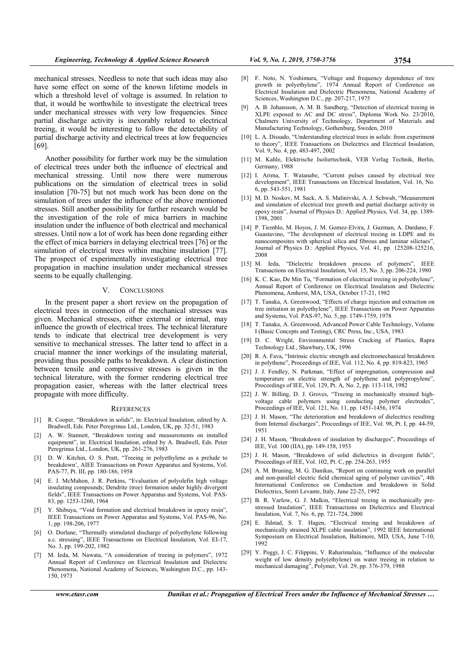mechanical stresses. Needless to note that such ideas may also have some effect on some of the known lifetime models in which a threshold level of voltage is assumed. In relation to that, it would be worthwhile to investigate the electrical trees under mechanical stresses with very low frequencies. Since partial discharge activity is inexorably related to electrical treeing, it would be interesting to follow the detectability of partial discharge activity and electrical trees at low frequencies [69].

Another possibility for further work may be the simulation of electrical trees under both the influence of electrical and mechanical stressing. Until now there were numerous publications on the simulation of electrical trees in solid insulation [70-75] but not much work has been done on the simulation of trees under the influence of the above mentioned stresses. Still another possibility for further research would be the investigation of the role of mica barriers in machine insulation under the influence of both electrical and mechanical stresses. Until now a lot of work has been done regarding either the effect of mica barriers in delaying electrical trees [76] or the simulation of electrical trees within machine insulation [77]. The prospect of experimentally investigating electrical tree propagation in machine insulation under mechanical stresses seems to be equally challenging.

## V. CONCLUSIONS

In the present paper a short review on the propagation of electrical trees in connection of the mechanical stresses was given. Mechanical stresses, either external or internal, may influence the growth of electrical trees. The technical literature tends to indicate that electrical tree development is very sensitive to mechanical stresses. The latter tend to affect in a crucial manner the inner workings of the insulating material, providing thus possible paths to breakdown. A clear distinction between tensile and compressive stresses is given in the technical literature, with the former rendering electrical tree propagation easier, whereas with the latter electrical trees propagate with more difficulty.

#### **REFERENCES**

- [1] R. Cooper, "Breakdown in solids", in: Electrical Insulation, edited by A. Bradwell, Eds. Peter Peregrinus Ltd., London, UK, pp. 32-51, 1983
- [2] A. W. Stannett, "Breakdown testing and measurements on installed equipment", in: Electrical Insulation, edited by A. Bradwell, Eds. Peter Peregrinus Ltd., London, UK, pp. 261-276, 1983
- [3] D. W. Kitchin, O. S. Pratt, "Treeing in polyethylene as a prelude to breakdown', AIEE Transactions on Power Apparatus and Systems, Vol. PAS-77, Pt. III, pp. 180-186, 1958
- [4] E. J. McMahon, J. R. Perkins, "Evaluation of polyolefin high voltage insulating compounds; Dendrite (tree) formation under highly divergent fields", IEEE Transactions on Power Apparatus and Systems, Vol. PAS-83, pp. 1253-1260, 1964
- Y. Shibuya, "Void formation and electrical breakdown in epoxy resin", IEEE Transactions on Power Apparatus and Systems, Vol. PAS-96, No. 1, pp. 198-206, 1977
- [6] O. Dorlane, "Thermally stimulated discharge of polyethylene following a.c. stressing", IEEE Transactions on Electrical Insulation, Vol. EI-17, No. 3, pp. 199-202, 1982
- [7] M. Ieda, M. Nawata, "A consideration of treeing in polymers", 1972 Annual Report of Conference on Electrical Insulation and Dielectric Phenomena, National Academy of Sciences, Washington D.C., pp. 143- 150, 1973
- [9] A. B. Johansson, A. M. B. Sandberg, "Detection of electrical treeing in XLPE exposed to AC and DC stress", Diploma Work No. 23/2010, Chalmers University of Technology, Department of Materials and Manufacturing Technology, Gothenburg, Sweden, 2010
- [10] L. A. Dissado, "Understanding electrical trees in solids: from experiment to theory", IEEE Transactions on Dielectrics and Electrical Insulation, Vol. 9, No. 4, pp. 483-497, 2002
- [11] M. Kahle, Elektrische Isoliertechnik, VEB Verlag Technik, Berlin, Germany, 1988
- [12] I. Arima, T. Watanabe, "Current pulses caused by electrical tree development", IEEE Transactions on Electrical Insulation, Vol. 16, No. 6, pp. 543-551, 1981
- [13] M. D. Noskov, M. Sack, A. S. Malinivski, A. J. Schwab, "Measurement and simulation of electrical tree growth and partial discharge activity in epoxy resin", Journal of Physics D.: Applied Physics, Vol. 34, pp. 1389- 1398, 2001
- [14] P. Tiemblo, M. Hoyos, J. M. Gomez-Elvira, J. Guzman, A. Dardano, F. Guastavino, "The development of electrical treeing in LDPE and its nanocomposites with spherical silica and fibrous and laminar silictaes", Journal of Physics D.: Applied Physics, Vol. 41, pp. 125208-125216, 2008
- [15] M. Ieda, "Dielectric breakdown process of polymers", IEEE Transactions on Electrical Insulation, Vol. 15, No. 3, pp. 206-224, 1980
- [16] K. C. Kao, De Min Tu, "Formation of electrical treeing in polyethylene", Annual Report of Conference on Electrical Insulation and Dielectric Phenomena, Amherst, MA, USA, October 17-21, 1982
- [17] T. Tanaka, A. Greenwood, "Effects of charge injection and extraction on tree initiation in polyethylene", IEEE Transactions on Power Apparatus and Systems, Vol. PAS-97, No. 5, pp. 1749-1759, 1978
- [18] T. Tanaka, A. Greenwood, Advanced Power Cable Technology, Volume I (Basic Concepts and Testing), CRC Press, Inc., USA, 1983
- [19] D. C. Wright, Environmental Stress Cracking of Plastics, Rapra Technology Ltd., Shawbury, UK, 1996
- [20] R. A. Fava, "Intrinsic electric strength and electromechanical breakdown in polythene", Proceedings of IEE, Vol. 112, No. 4, pp. 819-823, 1965
- [21] J. J. Fendley, N. Parkman, "Effect of impregnation, compression and temperature on electric strength of polythene and polypropylene", Proceedings of IEE, Vol. 129, Pt. A, No. 2, pp. 113-118, 1982
- [22] J. W. Billing, D. J. Groves, "Treeing in mechanically strained highvoltage cable polymers using conducting polymer electrodes", Proceedings of IEE, Vol. 121, No. 11, pp. 1451-1456, 1974
- [23] J. H. Mason, "The deterioration and breakdown of dielectrics resulting from Internal discharges", Proceedings of IEE, Vol. 98, Pt. I, pp. 44-59, 1951
- [24] J. H. Mason, "Breakdown of insulation by discharges", Proceedings of IEE, Vol. 100 (IIA), pp. 149-158, 1953
- [25] J. H. Mason, "Breakdown of solid dielectrics in divergent fields", Proceedings of IEE, Vol. 102, Pt. C, pp. 254-263, 1955
- [26] A. M. Bruning, M. G. Danikas, "Report on continuing work on parallel and non-parallel electric field chemical aging of polymer cavities", 4th International Conference on Conduction and breakdown in Solid Dielectrics, Sestri Levante, Italy, June 22-25, 1992
- [27] B. R. Varlow, G. J. Malkin, "Electrical treeing in mechanically prestressed Insulation", IEEE Transactions on Dielectrics and Electrical Insulation, Vol. 7, No. 6, pp. 721-724, 2000
- [28] E. Ildstad, S. T. Hagen, "Electrical treeing and breakdown of mechanically strained XLPE cable insulation", 1992 IEEE International Symposium on Electrical Insulation, Baltimore, MD, USA, June 7-10, 1992
- [29] Y. Poggi, J. C. Filippini, V. Raharimalaia, "Influence of the molecular weight of low density poly(ethylene) on water treeing in relation to mechanical damaging", Polymer, Vol. 29, pp. 376-379, 1988

*www.etasr.com Danikas et al.: Propagation of Electrical Trees under the Influence of Mechanical Stresses …*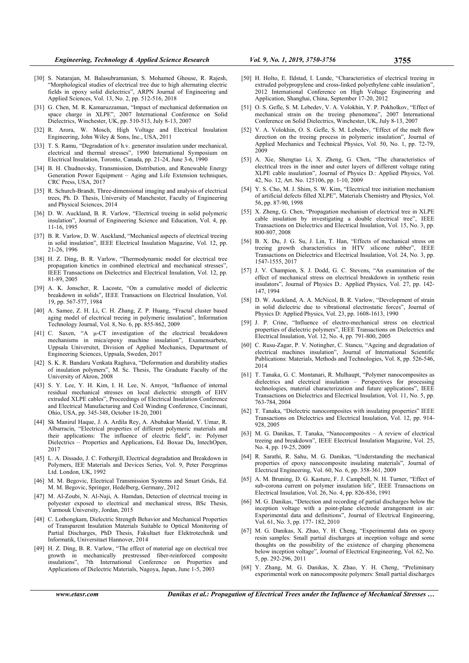- [30] S. Natarajan, M. Balasubramanian, S. Mohamed Ghouse, R. Rajesh, "Morphological studies of electrical tree due to high alternating electric fields in epoxy solid dielectrics", ARPN Journal of Engineering and Applied Sciences, Vol. 13, No. 2, pp. 512-516, 2018
- [31] G. Chen, M. R. Kamaruzzaman, "Impact of mechanical deformation on space charge in XLPE", 2007 International Conference on Solid Dielectrics, Winchester, UK, pp. 510-513, July 8-13, 2007
- [32] R. Arora, W. Mosch, High Voltage and Electrical Insulation Engineering, John Wiley & Sons, Inc., USA, 2011
- [33] T. S. Ramu, "Degradation of h.v. generator insulation under mechanical, electrical and thermal stresses", 1990 International Symposium on Electrical Insulation, Toronto, Canada, pp. 21-24, June 3-6, 1990
- [34] B. H. Chudnovsky, Transmission, Distribution, and Renewable Energy Generation Power Equipment – Aging and Life Extension techniques, CRC Press, USA, 2017
- [35] R. Schurch-Brandt, Three-dimensional imaging and analysis of electrical trees, Ph. D. Thesis, University of Manchester, Faculty of Engineering and Physical Sciences, 2014
- [36] D. W. Auckland, B. R. Varlow, "Electrical treeing in solid polymeric insulation", Journal of Engineering Science and Education, Vol. 4, pp. 11-16, 1995
- [37] B. R. Varlow, D. W. Auckland, "Mechanical aspects of electrical treeing in solid insulation", IEEE Electrical Insulation Magazine, Vol. 12, pp. 21-26, 1996
- [38] H. Z. Ding, B. R. Varlow, "Thermodynamic model for electrical tree propagation kinetics in combined electrical and mechanical stresses", IEEE Transactions on Dielectrics and Electrical Insulation, Vol. 12, pp. 81-89, 2005
- [39] A. K. Jonscher, R. Lacoste, "On a cumulative model of dielectric breakdown in solids", IEEE Transactions on Electrical Insulation, Vol. 19, pp. 567-577, 1984
- [40] A. Samee, Z. H. Li, C. H. Zhang, Z. P. Huang, "Fractal cluster based aging model of electrical treeing in polymeric insulation", Information Technology Journal, Vol. 8, No. 6, pp. 855-862, 2009
- [41] C. Saxen, "A μ-CT investigation of the electrical breakdown mechanisms in mica/epoxy machine insulation", Examensarbete, Uppsala Universitet, Division of Applied Mechanics, Department of Engineering Sciences, Uppsala, Sweden, 2017
- [42] S. K. R. Bandaru Venkata Raghava, "Deformation and durability studies of insulation polymers", M. Sc. Thesis, The Graduate Faculty of the University of Akron, 2008
- [43] S. Y. Lee, Y. H. Kim, I. H. Lee, N. Amyot, "Influence of internal residual mechanical stresses on local dielectric strength of EHV extruded XLPE cables", Proceedings of Electrical Insulation Conference and Electrical Manufacturing and Coil Winding Conference, Cincinnati, Ohio, USA, pp. 345-348, October 18-20, 2001
- [44] Sk Manirul Haque, J. A. Ardila Rey, A. Abubakar Masúd, Y. Umar, R. Albarracin, "Electrical properties of different polymeric materials and their applications: The influence of electric field", in: Polymer Dielectrics – Properties and Applications, Ed. Boxue Du, IntechOpen, 2017
- [45] L. A. Dissado, J. C. Fothergill, Electrical degradation and Breakdown in Polymers, IEE Materials and Devices Series, Vol. 9, Peter Peregrinus Ltd. London, UK, 1992
- [46] M. M. Begovic, Electrical Transmission Systems and Smart Grids, Ed. M. M. Begovic, Springer, Hedelberg, Germany, 2012
- [47] M. Al-Zoubi, N. Al-Naji, A. Hamdan, Detection of electrical treeing in polyester exposed to electrical and mechanical stress, BSc Thesis, Yarmouk University, Jordan, 2015
- [48] C. Lothongkam, Dielectric Strength Behavior and Mechanical Properties of Transparent Insulation Materials Suitable to Optical Monitoring of Partial Discharges, PhD Thesis, Fakultaet fuer Elektrotechnik und Informatik, Universitaet Hannover, 2014
- [49] H. Z. Ding, B. R. Varlow, "The effect of material age on electrical tree growth in mechanically prestressed fiber-reinforced composite insulations", 7th International Conference on Properties and Applications of Dielectric Materials, Nagoya, Japan, June 1-5, 2003
- [50] H. Holto, E. Ildstad, I. Lunde, "Characteristics of electrical treeing in extruded polypropylene and cross-linked polyethylene cable insulation' 2012 International Conference on High Voltage Engineering and Application, Shanghai, China, September 17-20, 2012
- [51] O. S. Gefle, S. M. Lebedev, V. A. Volokhin, Y. P. Pokholkov, "Effect of mechanical strain on the treeing phenomena", 2007 International Conference on Solid Dielectrics, Winchester, UK, July 8-13, 2007
- [52] V. A. Volokhin, O. S. Gefle, S. M. Lebedev, "Effect of the melt flow direction on the treeing process in polymeric insulation", Journal of Applied Mechanics and Technical Physics, Vol. 50, No. 1, pp. 72-79, 2009
- [53] A. Xie, Shengtao Li, X. Zheng, G. Chen, "The characteristics of electrical trees in the inner and outer layers of different voltage rating XLPE cable insulation", Journal of Physics D.: Applied Physics, Vol. 42, No. 12, Art. No. 125106, pp. 1-10, 2009
- [54] Y. S. Cho, M. J. Shim, S. W. Kim, "Electrical tree initiation mechanism of artificial defects filled XLPE", Materials Chemistry and Physics, Vol. 56, pp. 87-90, 1998
- [55] X. Zheng, G. Chen, "Propagation mechanism of electrical tree in XLPE cable insulation by investigating a double electrical tree", IEEE Transactions on Dielectrics and Electrical Insulation, Vol. 15, No. 3, pp. 800-807, 2008
- [56] B. X. Du, J. G. Su, J. Lin, T. Han, "Effects of mechanical stress on treeing growth characteristics in HTV silicone rubber", IEEE Transactions on Dielectrics and Electrical Insulation, Vol. 24, No. 3, pp. 1547-1555, 2017
- [57] J. V. Champion, S. J. Dodd, G. C. Stevens, "An examination of the effect of mechanical stress on electrical breakdown in synthetic resin insulators", Journal of Physics D.: Applied Physics, Vol. 27, pp. 142- 147, 1994
- [58] D. W. Auckland, A. A. McNicol, B. R. Varlow, "Development of strain in solid dielectric due to vibrational electrostatic forces", Journal of Physics D: Applied Physics, Vol. 23, pp. 1608-1613, 1990
- [59] J. P. Crine, "Influence of electro-mechanical stress on electrical properties of dielectric polymers", IEEE Transactions on Dielectrics and Electrical Insulation, Vol. 12, No. 4, pp. 791-800, 2005
- [60] C. Rusu-Zagar, P. V. Notingher, C. Stancu, "Ageing and degradation of electrical machines insulation", Journal of International Scientific Publications: Materials, Methods and Technologies, Vol. 8, pp. 526-546, 2014
- [61] T. Tanaka, G. C. Montanari, R. Mulhaupt, "Polymer nanocomposites as dielectrics and electrical insulation – Perspectives for processing technologies, material characterization and future applications", IEEE Transactions on Dielectrics and Electrical Insulation, Vol. 11, No. 5, pp. 763-784, 2004
- [62] T. Tanaka, "Dielectric nanocomposites with insulating properties" IEEE Transactions on Dielectrics and Electrical Insulation, Vol. 12, pp. 914- 928, 2005
- [63] M. G. Danikas, T. Tanaka, "Nanocomposites A review of electrical treeing and breakdown", IEEE Electrical Insulation Magazine, Vol. 25, No. 4, pp. 19-25, 2009
- [64] R. Sarathi, R. Sahu, M. G. Danikas, "Understanding the mechanical properties of epoxy nanocomposite insulating materials", Journal of Electrical Engineering, Vol. 60, No. 6, pp. 358-361, 2009
- [65] A. M. Bruning, D. G. Kasture, F. J. Campbell, N. H. Turner, "Effect of sub-corona current on polymer insulation life", IEEE Transactions on Electrical Insulation, Vol. 26, No. 4, pp. 826-836, 1991
- [66] M. G. Danikas, "Detection and recording of partial discharges below the inception voltage with a point-plane electrode arrangement in air: Experimental data and definitions", Journal of Electrical Engineering, Vol. 61, No. 3, pp. 177- 182, 2010
- [67] M. G. Danikas, X. Zhao, Y. H. Cheng, "Experimental data on epoxy resin samples: Small partial discharges at inception voltage and some thoughts on the possibility of the existence of charging phenomena below inception voltage", Journal of Electrical Engineering, Vol. 62, No. 5, pp. 292-296, 2011
- [68] Y. Zhang, M. G. Danikas, X. Zhao, Y. H. Cheng, "Preliminary experimental work on nanocomposite polymers: Small partial discharges